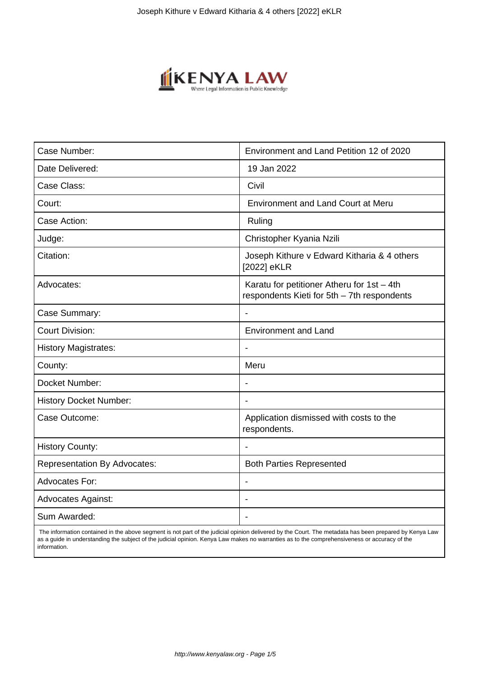

| Case Number:                        | Environment and Land Petition 12 of 2020                                                  |
|-------------------------------------|-------------------------------------------------------------------------------------------|
| Date Delivered:                     | 19 Jan 2022                                                                               |
| Case Class:                         | Civil                                                                                     |
| Court:                              | <b>Environment and Land Court at Meru</b>                                                 |
| Case Action:                        | Ruling                                                                                    |
| Judge:                              | Christopher Kyania Nzili                                                                  |
| Citation:                           | Joseph Kithure v Edward Kitharia & 4 others<br>[2022] eKLR                                |
| Advocates:                          | Karatu for petitioner Atheru for 1st - 4th<br>respondents Kieti for 5th - 7th respondents |
| Case Summary:                       |                                                                                           |
| <b>Court Division:</b>              | <b>Environment and Land</b>                                                               |
| <b>History Magistrates:</b>         | $\blacksquare$                                                                            |
| County:                             | Meru                                                                                      |
| Docket Number:                      |                                                                                           |
| <b>History Docket Number:</b>       | $\blacksquare$                                                                            |
| Case Outcome:                       | Application dismissed with costs to the<br>respondents.                                   |
| <b>History County:</b>              |                                                                                           |
| <b>Representation By Advocates:</b> | <b>Both Parties Represented</b>                                                           |
| <b>Advocates For:</b>               | $\overline{\phantom{a}}$                                                                  |
| <b>Advocates Against:</b>           |                                                                                           |
| Sum Awarded:                        |                                                                                           |

 The information contained in the above segment is not part of the judicial opinion delivered by the Court. The metadata has been prepared by Kenya Law as a guide in understanding the subject of the judicial opinion. Kenya Law makes no warranties as to the comprehensiveness or accuracy of the information.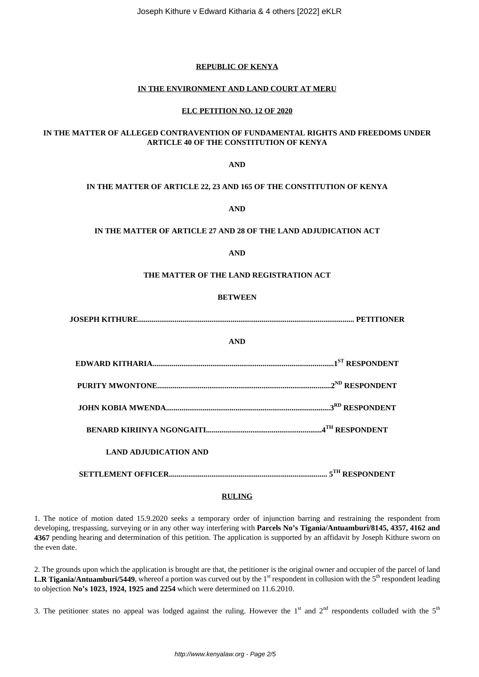Joseph Kithure v Edward Kitharia & 4 others [2022] eKLR

# **REPUBLIC OF KENYA**

## **IN THE ENVIRONMENT AND LAND COURT AT MERU**

## **ELC PETITION NO. 12 OF 2020**

# **IN THE MATTER OF ALLEGED CONTRAVENTION OF FUNDAMENTAL RIGHTS AND FREEDOMS UNDER ARTICLE 40 OF THE CONSTITUTION OF KENYA**

**AND**

## **IN THE MATTER OF ARTICLE 22, 23 AND 165 OF THE CONSTITUTION OF KENYA**

**AND**

## **IN THE MATTER OF ARTICLE 27 AND 28 OF THE LAND ADJUDICATION ACT**

**AND**

#### **THE MATTER OF THE LAND REGISTRATION ACT**

#### **BETWEEN**

| <b>AND</b>                   |  |
|------------------------------|--|
|                              |  |
|                              |  |
|                              |  |
|                              |  |
| <b>LAND ADJUDICATION AND</b> |  |
|                              |  |

## **RULING**

1. The notice of motion dated 15.9.2020 seeks a temporary order of injunction barring and restraining the respondent from developing, trespassing, surveying or in any other way interfering with **Parcels No's Tigania/Antuamburi/8145, 4357, 4162 and 4367** pending hearing and determination of this petition. The application is supported by an affidavit by Joseph Kithure sworn on the even date.

2. The grounds upon which the application is brought are that, the petitioner is the original owner and occupier of the parcel of land **L.R Tigania/Antuamburi/5449**, whereof a portion was curved out by the 1<sup>st</sup> respondent in collusion with the 5<sup>th</sup> respondent leading to objection **No's 1023, 1924, 1925 and 2254** which were determined on 11.6.2010.

3. The petitioner states no appeal was lodged against the ruling. However the  $1<sup>st</sup>$  and  $2<sup>nd</sup>$  respondents colluded with the  $5<sup>th</sup>$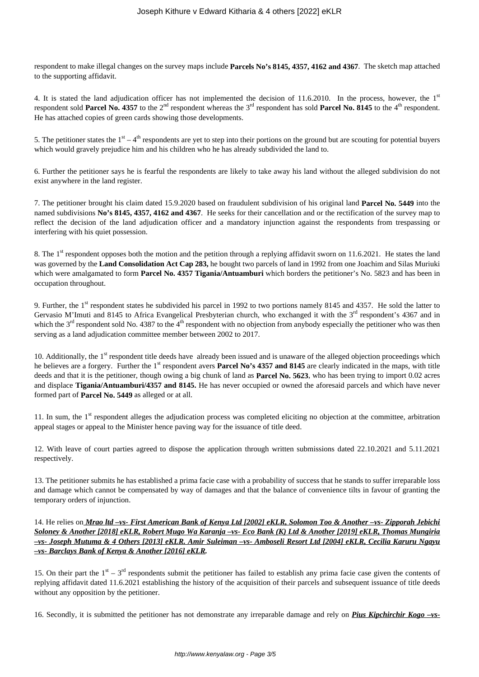respondent to make illegal changes on the survey maps include **Parcels No's 8145, 4357, 4162 and 4367**. The sketch map attached to the supporting affidavit.

4. It is stated the land adjudication officer has not implemented the decision of 11.6.2010. In the process, however, the  $1<sup>st</sup>$ respondent sold **Parcel No. 4357** to the 2<sup>nd</sup> respondent whereas the 3<sup>rd</sup> respondent has sold **Parcel No. 8145** to the 4<sup>th</sup> respondent. He has attached copies of green cards showing those developments.

5. The petitioner states the  $1<sup>st</sup> - 4<sup>th</sup>$  respondents are yet to step into their portions on the ground but are scouting for potential buyers which would gravely prejudice him and his children who he has already subdivided the land to.

6. Further the petitioner says he is fearful the respondents are likely to take away his land without the alleged subdivision do not exist anywhere in the land register.

7. The petitioner brought his claim dated 15.9.2020 based on fraudulent subdivision of his original land **Parcel No. 5449** into the named subdivisions **No's 8145, 4357, 4162 and 4367**. He seeks for their cancellation and or the rectification of the survey map to reflect the decision of the land adjudication officer and a mandatory injunction against the respondents from trespassing or interfering with his quiet possession.

8. The 1<sup>st</sup> respondent opposes both the motion and the petition through a replying affidavit sworn on 11.6.2021. He states the land was governed by the **Land Consolidation Act Cap 283,** he bought two parcels of land in 1992 from one Joachim and Silas Muriuki which were amalgamated to form **Parcel No. 4357 Tigania/Antuamburi** which borders the petitioner's No. 5823 and has been in occupation throughout.

9. Further, the 1<sup>st</sup> respondent states he subdivided his parcel in 1992 to two portions namely 8145 and 4357. He sold the latter to Gervasio M'Imuti and 8145 to Africa Evangelical Presbyterian church, who exchanged it with the 3<sup>rd</sup> respondent's 4367 and in which the  $3<sup>rd</sup>$  respondent sold No. 4387 to the 4<sup>th</sup> respondent with no objection from anybody especially the petitioner who was then serving as a land adjudication committee member between 2002 to 2017.

10. Additionally, the  $1<sup>st</sup>$  respondent title deeds have already been issued and is unaware of the alleged objection proceedings which he believes are a forgery. Further the 1<sup>st</sup> respondent avers **Parcel No's 4357 and 8145** are clearly indicated in the maps, with title deeds and that it is the petitioner, though owing a big chunk of land as **Parcel No. 5623**, who has been trying to import 0.02 acres and displace **Tigania/Antuamburi/4357 and 8145.** He has never occupied or owned the aforesaid parcels and which have never formed part of **Parcel No. 5449** as alleged or at all.

11. In sum, the  $1<sup>st</sup>$  respondent alleges the adjudication process was completed eliciting no objection at the committee, arbitration appeal stages or appeal to the Minister hence paving way for the issuance of title deed.

12. With leave of court parties agreed to dispose the application through written submissions dated 22.10.2021 and 5.11.2021 respectively.

13. The petitioner submits he has established a prima facie case with a probability of success that he stands to suffer irreparable loss and damage which cannot be compensated by way of damages and that the balance of convenience tilts in favour of granting the temporary orders of injunction.

14. He relies on *Mrao ltd –vs- First American Bank of Kenya Ltd [2002] eKLR, Solomon Too & Another –vs- Zipporah Jebichi Soloney & Another [2018] eKLR, Robert Mugo Wa Karanja –vs- Eco Bank (K) Ltd & Another [2019] eKLR, Thomas Mungiria –vs- Joseph Mutuma & 4 Others [2013] eKLR. Amir Suleiman –vs- Amboseli Resort Ltd [2004] eKLR, Cecilia Karuru Ngayu –vs- Barclays Bank of Kenya & Another [2016] eKLR.*

15. On their part the  $1<sup>st</sup> - 3<sup>rd</sup>$  respondents submit the petitioner has failed to establish any prima facie case given the contents of replying affidavit dated 11.6.2021 establishing the history of the acquisition of their parcels and subsequent issuance of title deeds without any opposition by the petitioner.

16. Secondly, it is submitted the petitioner has not demonstrate any irreparable damage and rely on *Pius Kipchirchir Kogo –vs-*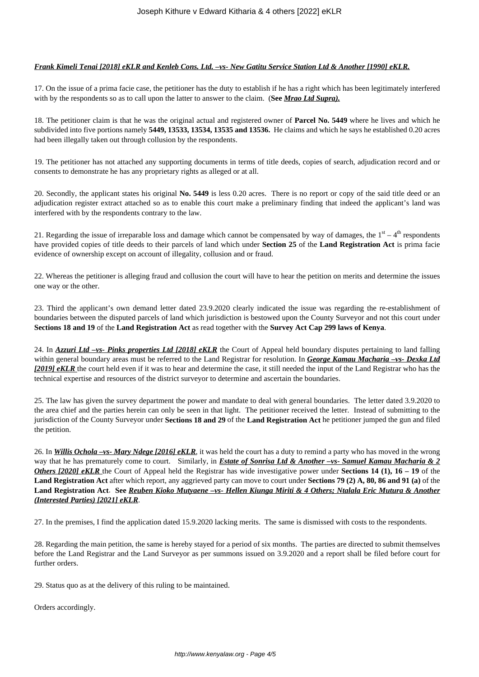# *Frank Kimeli Tenai [2018] eKLR and Kenleb Cons. Ltd. –vs- New Gatitu Service Station Ltd & Another [1990] eKLR.*

17. On the issue of a prima facie case, the petitioner has the duty to establish if he has a right which has been legitimately interfered with by the respondents so as to call upon the latter to answer to the claim. (**See** *Mrao Ltd Supra).*

18. The petitioner claim is that he was the original actual and registered owner of **Parcel No. 5449** where he lives and which he subdivided into five portions namely **5449, 13533, 13534, 13535 and 13536.** He claims and which he says he established 0.20 acres had been illegally taken out through collusion by the respondents.

19. The petitioner has not attached any supporting documents in terms of title deeds, copies of search, adjudication record and or consents to demonstrate he has any proprietary rights as alleged or at all.

20. Secondly, the applicant states his original **No. 5449** is less 0.20 acres. There is no report or copy of the said title deed or an adjudication register extract attached so as to enable this court make a preliminary finding that indeed the applicant's land was interfered with by the respondents contrary to the law.

21. Regarding the issue of irreparable loss and damage which cannot be compensated by way of damages, the  $1<sup>st</sup> - 4<sup>th</sup>$  respondents have provided copies of title deeds to their parcels of land which under **Section 25** of the **Land Registration Act** is prima facie evidence of ownership except on account of illegality, collusion and or fraud.

22. Whereas the petitioner is alleging fraud and collusion the court will have to hear the petition on merits and determine the issues one way or the other.

23. Third the applicant's own demand letter dated 23.9.2020 clearly indicated the issue was regarding the re-establishment of boundaries between the disputed parcels of land which jurisdiction is bestowed upon the County Surveyor and not this court under **Sections 18 and 19** of the **Land Registration Act** as read together with the **Survey Act Cap 299 laws of Kenya**.

24. In *Azzuri Ltd –vs- Pinks properties Ltd [2018] eKLR* the Court of Appeal held boundary disputes pertaining to land falling within general boundary areas must be referred to the Land Registrar for resolution. In *George Kamau Macharia –vs- Dexka Ltd [2019] eKLR* the court held even if it was to hear and determine the case, it still needed the input of the Land Registrar who has the technical expertise and resources of the district surveyor to determine and ascertain the boundaries.

25. The law has given the survey department the power and mandate to deal with general boundaries. The letter dated 3.9.2020 to the area chief and the parties herein can only be seen in that light. The petitioner received the letter. Instead of submitting to the jurisdiction of the County Surveyor under **Sections 18 and 29** of the **Land Registration Act** he petitioner jumped the gun and filed the petition.

26. In *Willis Ochola –vs- Mary Ndege [2016] eKLR*, it was held the court has a duty to remind a party who has moved in the wrong way that he has prematurely come to court. Similarly, in *Estate of Sonrisa Ltd & Another -vs- Samuel Kamau Macharia & 2 Others [2020] eKLR* the Court of Appeal held the Registrar has wide investigative power under **Sections 14 (1), 16 – 19** of the **Land Registration Act** after which report, any aggrieved party can move to court under **Sections 79 (2) A, 80, 86 and 91 (a)** of the **Land Registration Act**. **See** *Reuben Kioko Mutyaene –vs- Hellen Kiunga Miriti & 4 Others; Ntalala Eric Mutura & Another (Interested Parties) [2021] eKLR*.

27. In the premises, I find the application dated 15.9.2020 lacking merits. The same is dismissed with costs to the respondents.

28. Regarding the main petition, the same is hereby stayed for a period of six months. The parties are directed to submit themselves before the Land Registrar and the Land Surveyor as per summons issued on 3.9.2020 and a report shall be filed before court for further orders.

29. Status quo as at the delivery of this ruling to be maintained.

Orders accordingly.